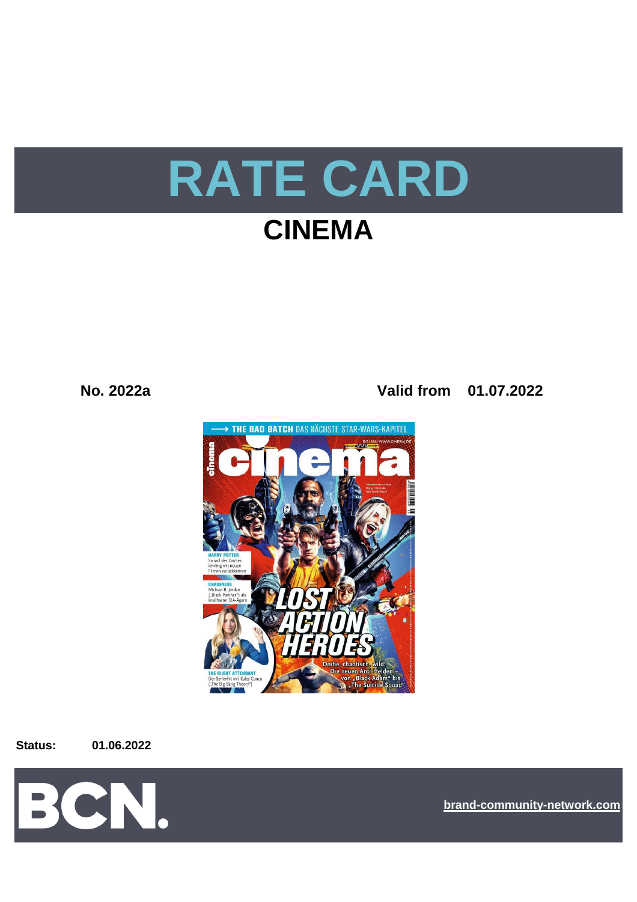

# **CINEMA**

**No. 2022a Valid from 01.07.2022**



**Status: 01.06.2022**



**[bra](https://bcn.burda.com/)nd-community-network.com**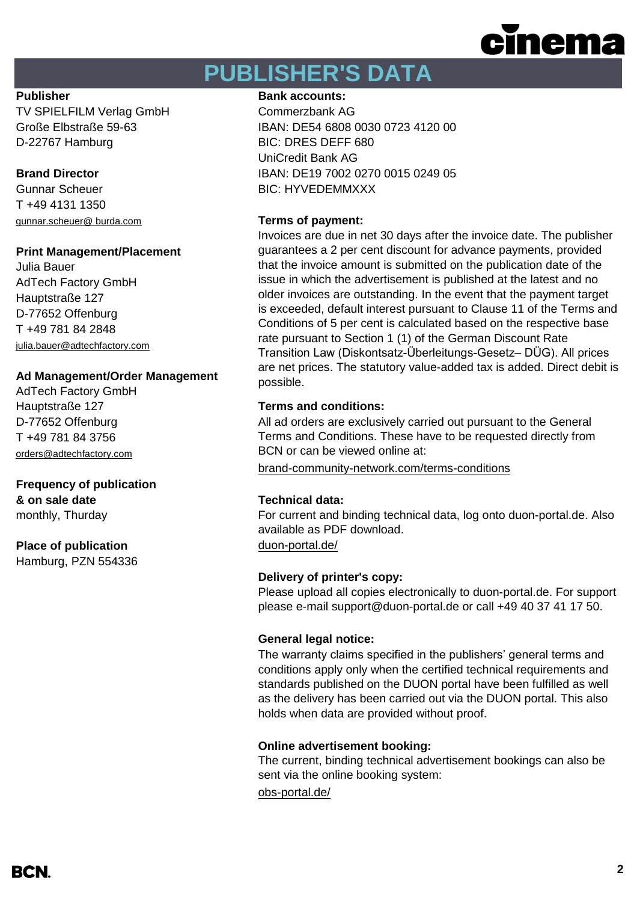

# **PUBLISHER'S DATA**

TV SPIELFILM Verlag GmbH Commerzbank AG D-22767 Hamburg BIC: DRES DEFF 680

Gunnar Scheuer BIC: HYVEDEMMXXX T +49 4131 1350 [gunnar.scheuer@ burda.com](mailto:gunnar.scheuer@%20burda.com) **Terms of payment:**

### **Print Management/Placement**

Julia Bauer AdTech Factory GmbH Hauptstraße 127 D-77652 Offenburg T +49 781 84 2848 [julia.bauer@adtechfactory.com](mailto:julia.bauer@adtechfactory.com)

## **Ad Management/Order Management**

AdTech Factory GmbH Hauptstraße 127 **Terms and conditions:** D-77652 Offenburg T +49 781 84 3756 [orders@adtechfactory.com](mailto:orders@adtechfactory.com)

## **Frequency of publication & on sale date Technical data:**

monthly, Thurday

## **Place of publication** [duon-portal.de/](https://duon-portal.de/)

Hamburg, PZN 554336

### **Publisher Bank accounts: Bank accounts:**

Große Elbstraße 59-63 IBAN: DE54 6808 0030 0723 4120 00 UniCredit Bank AG **Brand Director IBAN: DE19 7002 0270 0015 0249 05** 

Invoices are due in net 30 days after the invoice date. The publisher guarantees a 2 per cent discount for advance payments, provided that the invoice amount is submitted on the publication date of the issue in which the advertisement is published at the latest and no older invoices are outstanding. In the event that the payment target is exceeded, default interest pursuant to Clause 11 of the Terms and Conditions of 5 per cent is calculated based on the respective base rate pursuant to Section 1 (1) of the German Discount Rate Transition Law (Diskontsatz-Überleitungs-Gesetz– DÜG). All prices are net prices. The statutory value-added tax is added. Direct debit is possible.

All ad orders are exclusively carried out pursuant to the General Terms and Conditions. These have to be requested directly from BCN or can be viewed online at:

[brand-community-network.com/terms-conditions](https://bcn.burda.com/terms-conditions)

For current and binding technical data, log onto duon-portal.de. Also available as PDF download.

# **Delivery of printer's copy:**

Please upload all copies electronically to duon-portal.de. For support please e-mail support@duon-portal.de or call +49 40 37 41 17 50.

### **General legal notice:**

The warranty claims specified in the publishers' general terms and conditions apply only when the certified technical requirements and standards published on the DUON portal have been fulfilled as well as the delivery has been carried out via the DUON portal. This also holds when data are provided without proof.

### **Online advertisement booking:**

The current, binding technical advertisement bookings can also be sent via the online booking system:

[obs-portal.de/](https://www.obs-portal.de/)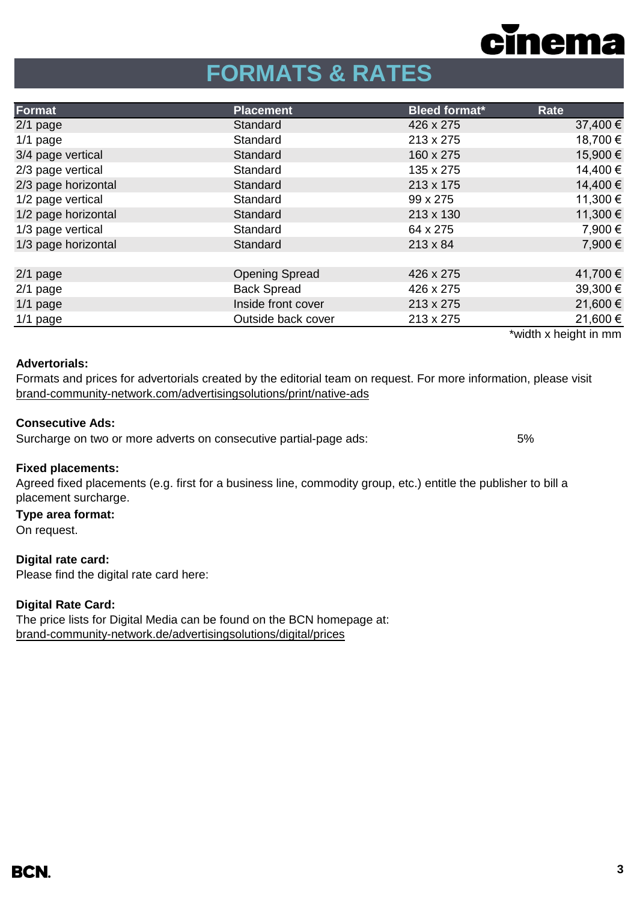

# **FORMATS & RATES**

| Format              | <b>Placement</b>      | <b>Bleed format*</b> | Rate                  |
|---------------------|-----------------------|----------------------|-----------------------|
| $2/1$ page          | Standard              | 426 x 275            | 37,400 €              |
| $1/1$ page          | Standard              | 213 x 275            | 18,700 €              |
| 3/4 page vertical   | Standard              | 160 x 275            | 15,900€               |
| 2/3 page vertical   | Standard              | 135 x 275            | 14,400 €              |
| 2/3 page horizontal | Standard              | 213 x 175            | 14,400 €              |
| 1/2 page vertical   | Standard              | 99 x 275             | 11,300 €              |
| 1/2 page horizontal | Standard              | 213 x 130            | 11,300 €              |
| 1/3 page vertical   | Standard              | 64 x 275             | 7,900 €               |
| 1/3 page horizontal | Standard              | $213 \times 84$      | 7,900 €               |
|                     |                       |                      |                       |
| $2/1$ page          | <b>Opening Spread</b> | 426 x 275            | 41,700 €              |
| $2/1$ page          | <b>Back Spread</b>    | 426 x 275            | 39,300 €              |
| $1/1$ page          | Inside front cover    | 213 x 275            | 21,600€               |
| $1/1$ page          | Outside back cover    | 213 x 275            | 21,600€               |
|                     |                       |                      | *width x height in mm |

#### **Advertorials:**

[brand-community-network.com/advertisin](https://bcn.burda.com/advertisingsolutions/print/native-ads)gsolutions/print/native-ads Formats and prices for advertorials created by the editorial team on request. For more information, please visit

## **Consecutive Ads:**

Surcharge on two or more adverts on consecutive partial-page ads: 5%

### **Fixed placements:**

Agreed fixed placements (e.g. first for a business line, commodity group, etc.) entitle the publisher to bill a placement surcharge.

### **Type area format:**

On request.

**Digital rate card:** Please find the digital rate card here:

### **Digital Rate Card:**

The price lists for Digital Media can be found on the BCN homepage at: [brand-community-network.de/advertisingsolutions/digital/prices](https://bcn.burda.com/advertisingsolutions/digital/prices)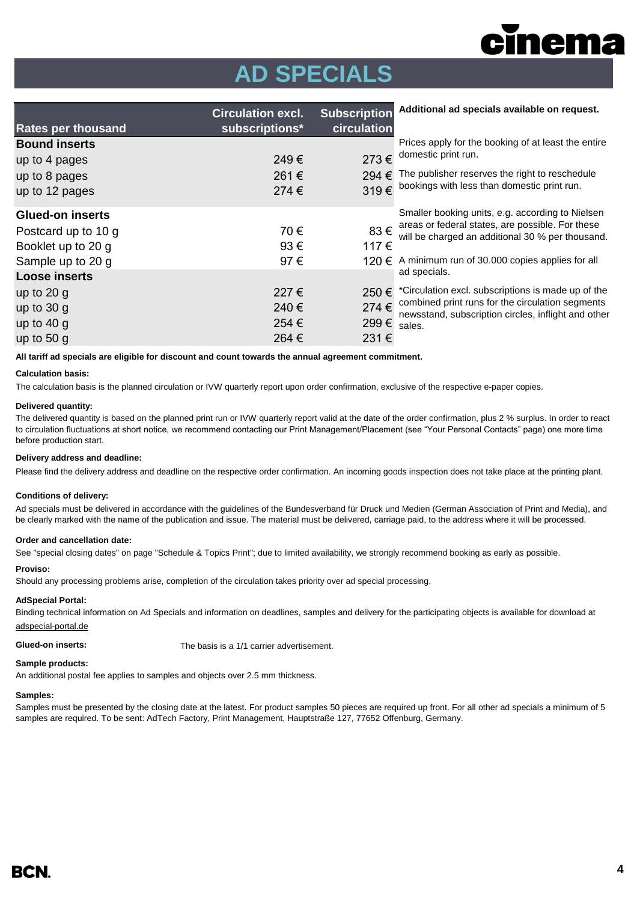

# **AD SPECIALS**

| <b>Rates per thousand</b> | <b>Circulation excl.</b><br>subscriptions* | <b>Subscription</b><br>circulation | Additional ad specials available on request.                                                              |  |
|---------------------------|--------------------------------------------|------------------------------------|-----------------------------------------------------------------------------------------------------------|--|
| <b>Bound inserts</b>      |                                            |                                    | Prices apply for the booking of at least the entire                                                       |  |
| up to 4 pages             | 249€                                       | 273€                               | domestic print run.                                                                                       |  |
| up to 8 pages             | 261€                                       | 294 $\epsilon$                     | The publisher reserves the right to reschedule                                                            |  |
| up to 12 pages            | 274€                                       | 319€                               | bookings with less than domestic print run.                                                               |  |
| <b>Glued-on inserts</b>   |                                            |                                    | Smaller booking units, e.g. according to Nielsen                                                          |  |
| Postcard up to 10 g       | 70€                                        |                                    | 83 € areas or federal states, are possible. For these<br>will be charged an additional 30 % per thousand. |  |
| Booklet up to 20 g        | $93 \in$                                   | 117€                               |                                                                                                           |  |
| Sample up to 20 g         | 97€                                        | 120 €                              | A minimum run of 30,000 copies applies for all                                                            |  |
| <b>Loose inserts</b>      |                                            |                                    | ad specials.                                                                                              |  |
| up to $20 g$              | 227€                                       | 250€                               | *Circulation excl. subscriptions is made up of the                                                        |  |
| up to $30 g$              | 240€                                       | $274 \in$                          | combined print runs for the circulation segments<br>newsstand, subscription circles, inflight and other   |  |
| up to $40 g$              | 254 €                                      | 299 € sales.                       |                                                                                                           |  |
| up to $50 g$              | 264 €                                      | 231 €                              |                                                                                                           |  |

**All tariff ad specials are eligible for discount and count towards the annual agreement commitment.**

#### **Calculation basis:**

The calculation basis is the planned circulation or IVW quarterly report upon order confirmation, exclusive of the respective e-paper copies.

#### **Delivered quantity:**

The delivered quantity is based on the planned print run or IVW quarterly report valid at the date of the order confirmation, plus 2 % surplus. In order to react to circulation fluctuations at short notice, we recommend contacting our Print Management/Placement (see "Your Personal Contacts" page) one more time before production start.

#### **Delivery address and deadline:**

Please find the delivery address and deadline on the respective order confirmation. An incoming goods inspection does not take place at the printing plant.

#### **Conditions of delivery:**

Ad specials must be delivered in accordance with the guidelines of the Bundesverband für Druck und Medien (German Association of Print and Media), and be clearly marked with the name of the publication and issue. The material must be delivered, carriage paid, to the address where it will be processed.

#### **Order and cancellation date:**

See "special closing dates" on page "Schedule & Topics Print"; due to limited availability, we strongly recommend booking as early as possible.

#### **Proviso:**

Should any processing problems arise, completion of the circulation takes priority over ad special processing.

#### **AdSpecial Portal:**

Binding technical information on Ad Specials and information on deadlines, samples and delivery for the participating objects is available for download at adspecial-portal.de

**Glued-on inserts:** The basis is a 1/1 carrier advertisement.

#### **Sample products:**

An additional postal fee applies to samples and objects over 2.5 mm thickness.

#### **Samples:**

Samples must be presented by the closing date at the latest. For product samples 50 pieces are required up front. For all other ad specials a minimum of 5 samples are required. To be sent: AdTech Factory, Print Management, Hauptstraße 127, 77652 Offenburg, Germany.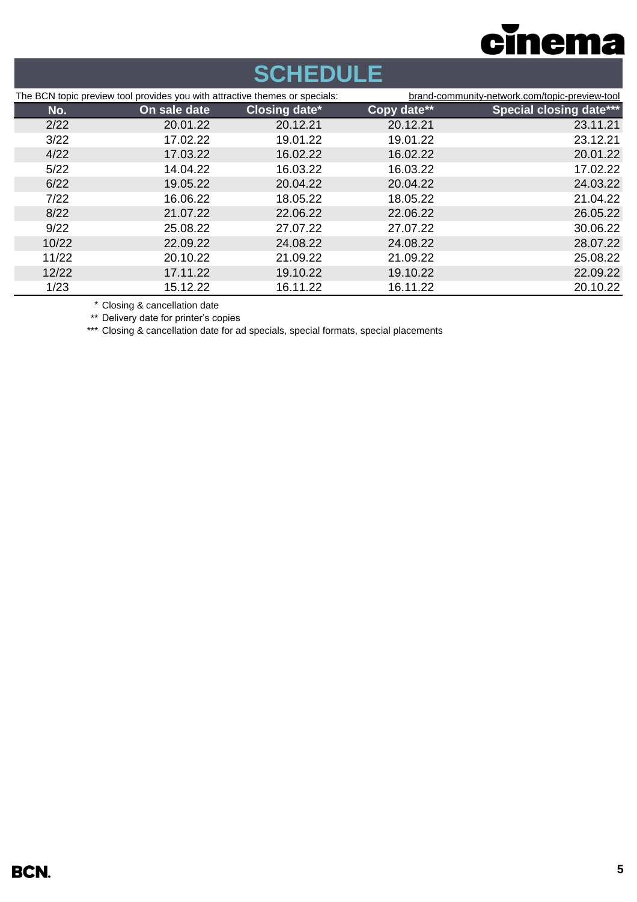

# **SCHEDULE**

| The BCN topic preview tool provides you with attractive themes or specials: |              | brand-community-network.com/topic-preview-tool |             |                                |
|-----------------------------------------------------------------------------|--------------|------------------------------------------------|-------------|--------------------------------|
| No.                                                                         | On sale date | <b>Closing date*</b>                           | Copy date** | <b>Special closing date***</b> |
| 2/22                                                                        | 20.01.22     | 20.12.21                                       | 20.12.21    | 23.11.21                       |
| 3/22                                                                        | 17.02.22     | 19.01.22                                       | 19.01.22    | 23.12.21                       |
| 4/22                                                                        | 17.03.22     | 16.02.22                                       | 16.02.22    | 20.01.22                       |
| 5/22                                                                        | 14.04.22     | 16.03.22                                       | 16.03.22    | 17.02.22                       |
| 6/22                                                                        | 19.05.22     | 20.04.22                                       | 20.04.22    | 24.03.22                       |
| 7/22                                                                        | 16.06.22     | 18.05.22                                       | 18.05.22    | 21.04.22                       |
| 8/22                                                                        | 21.07.22     | 22.06.22                                       | 22.06.22    | 26.05.22                       |
| 9/22                                                                        | 25.08.22     | 27.07.22                                       | 27.07.22    | 30.06.22                       |
| 10/22                                                                       | 22.09.22     | 24.08.22                                       | 24.08.22    | 28.07.22                       |
| 11/22                                                                       | 20.10.22     | 21.09.22                                       | 21.09.22    | 25.08.22                       |
| 12/22                                                                       | 17.11.22     | 19.10.22                                       | 19.10.22    | 22.09.22                       |
| 1/23                                                                        | 15.12.22     | 16.11.22                                       | 16.11.22    | 20.10.22                       |

\* Closing & cancellation date

\*\* Delivery date for printer's copies

\*\*\* Closing & cancellation date for ad specials, special formats, special placements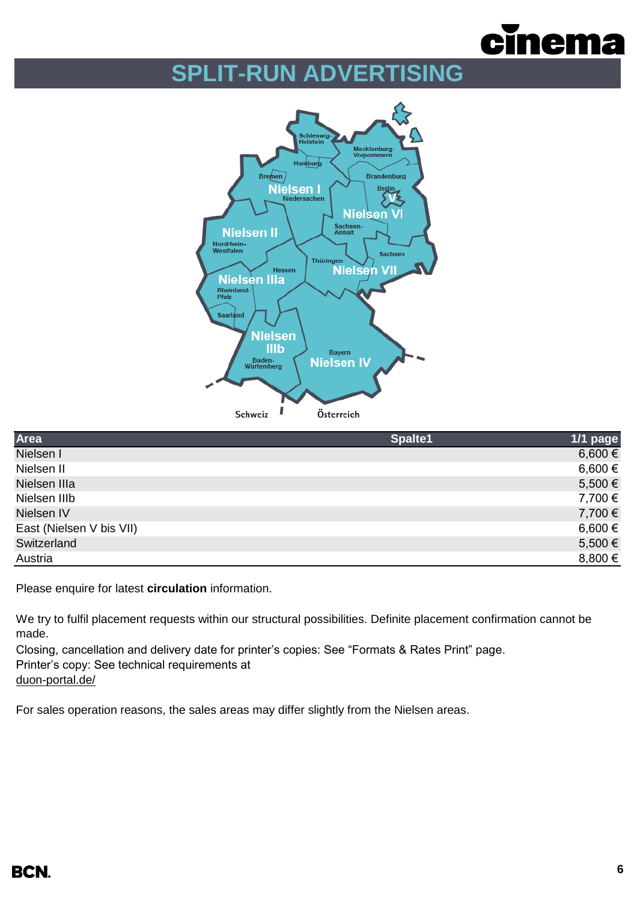

# **SPLIT-RUN ADVERTISING**



| Area                     | Spalte1 | 1/1 page |
|--------------------------|---------|----------|
| Nielsen I                |         | 6,600 €  |
| Nielsen II               |         | 6,600 €  |
| Nielsen IIIa             |         | 5,500 €  |
| Nielsen IIIb             |         | 7,700 €  |
| Nielsen IV               |         | 7,700 €  |
| East (Nielsen V bis VII) |         | 6,600 €  |
| Switzerland              |         | 5,500€   |
| Austria                  |         | 8,800 €  |
|                          |         |          |

Please enquire for latest **circulation** information.

We try to fulfil placement requests within our structural possibilities. Definite placement confirmation cannot be made.

Closing, cancellation and delivery date for printer's copies: See "Formats & Rates Print" page. Printer's copy: See technical requirements at

[duon-portal.de/](https://duon-portal.de/)

For sales operation reasons, the sales areas may differ slightly from the Nielsen areas.